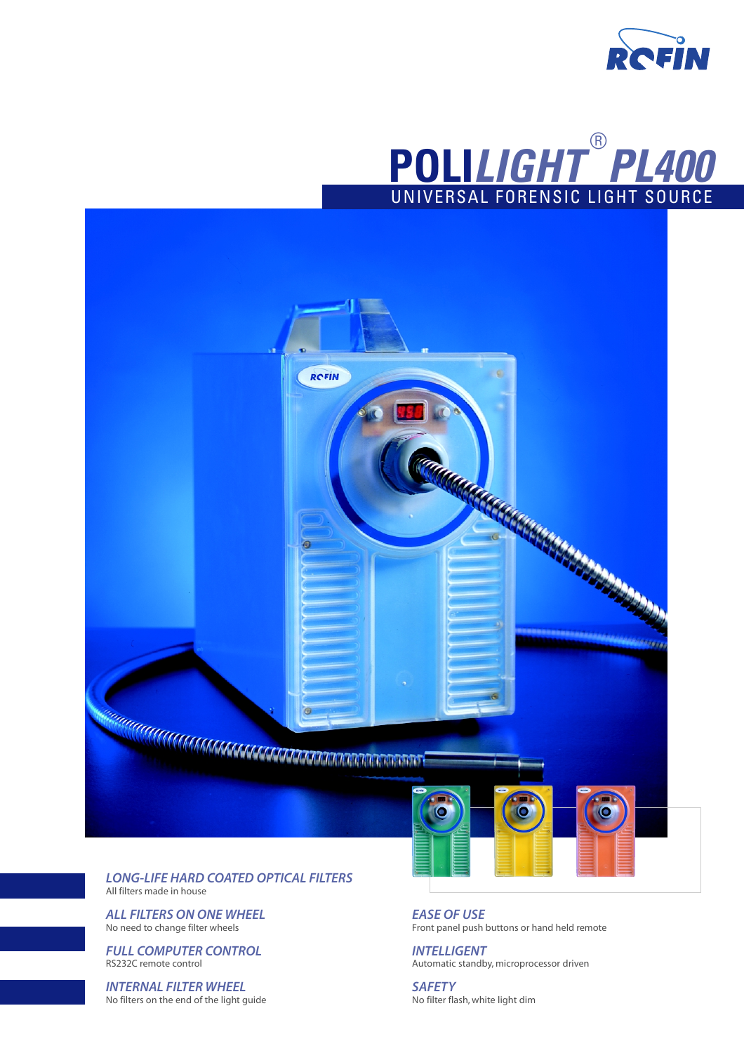





**RCFIN** 

**TRI** 

*ALL FILTERS ON ONE WHEEL* No need to change filter wheels

*FULL COMPUTER CONTROL* RS232C remote control

*INTERNAL FILTER WHEEL* No filters on the end of the light guide *EASE OF USE* Front panel push buttons or hand held remote

*INTELLIGENT* Automatic standby, microprocessor driven

*SAFETY* No filter flash, white light dim

О

KANARA